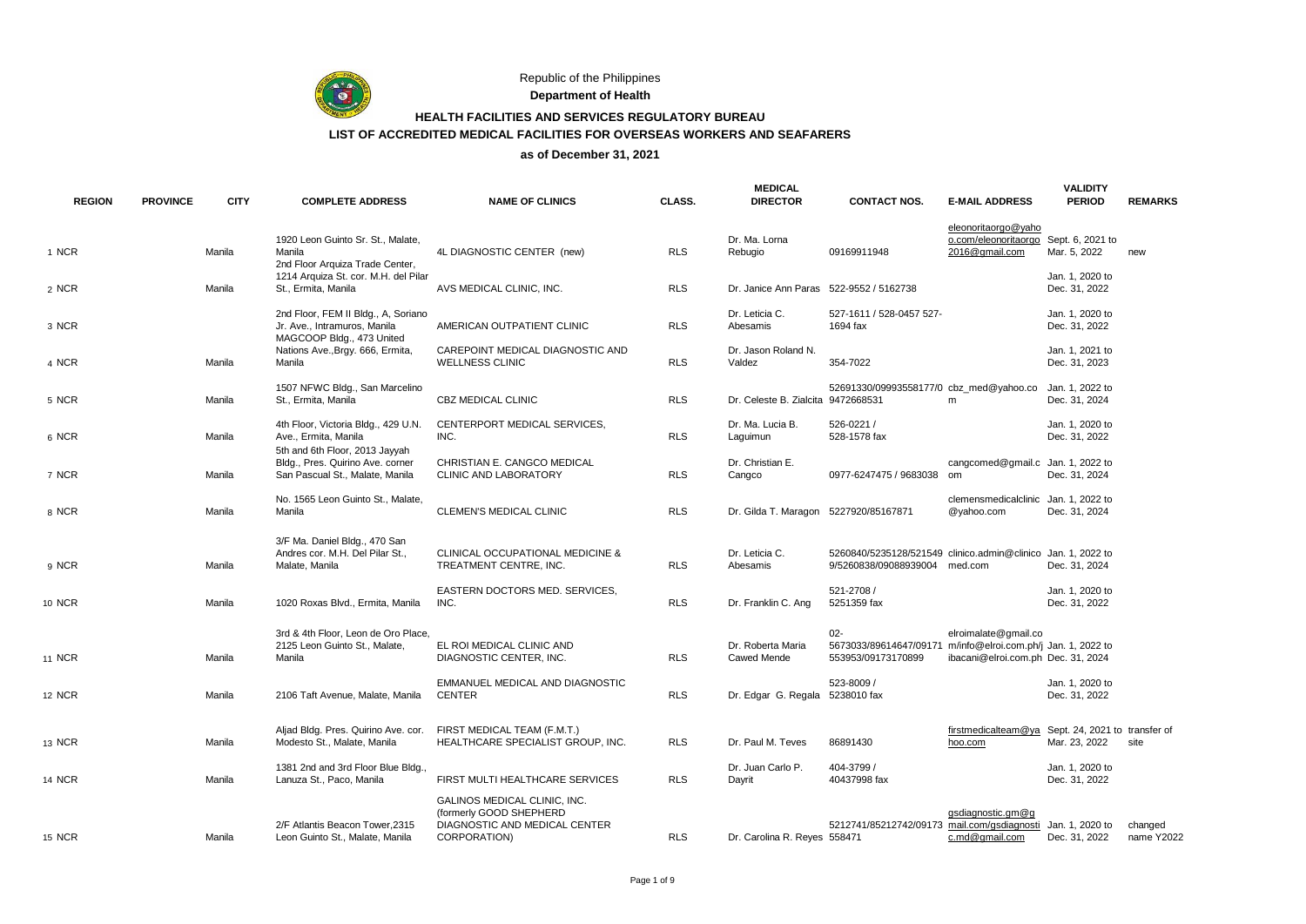

Republic of the Philippines

**Department of Health**

# **HEALTH FACILITIES AND SERVICES REGULATORY BUREAU LIST OF ACCREDITED MEDICAL FACILITIES FOR OVERSEAS WORKERS AND SEAFARERS**

| <b>REGION</b> | <b>PROVINCE</b> | <b>CITY</b> | <b>COMPLETE ADDRESS</b>                                                                               | <b>NAME OF CLINICS</b>                                                                                   | CLASS.     | <b>MEDICAL</b><br><b>DIRECTOR</b>       | <b>CONTACT NOS.</b>                                                                           | <b>E-MAIL ADDRESS</b>                                         | <b>VALIDITY</b><br><b>PERIOD</b>               | <b>REMARKS</b>        |
|---------------|-----------------|-------------|-------------------------------------------------------------------------------------------------------|----------------------------------------------------------------------------------------------------------|------------|-----------------------------------------|-----------------------------------------------------------------------------------------------|---------------------------------------------------------------|------------------------------------------------|-----------------------|
| 1 NCR         |                 | Manila      | 1920 Leon Guinto Sr. St., Malate,<br>Manila<br>2nd Floor Arquiza Trade Center,                        | 4L DIAGNOSTIC CENTER (new)                                                                               | <b>RLS</b> | Dr. Ma. Lorna<br>Rebugio                | 09169911948                                                                                   | eleonoritaorgo@yaho<br>o.com/eleonoritaorgo<br>2016@gmail.com | Sept. 6, 2021 to<br>Mar. 5, 2022               | new                   |
| 2 NCR         |                 | Manila      | 1214 Arquiza St. cor. M.H. del Pilar<br>St., Ermita, Manila                                           | AVS MEDICAL CLINIC, INC.                                                                                 | <b>RLS</b> | Dr. Janice Ann Paras                    | 522-9552 / 5162738                                                                            |                                                               | Jan. 1, 2020 to<br>Dec. 31, 2022               |                       |
| 3 NCR         |                 |             | 2nd Floor, FEM II Bldg., A, Soriano<br>Jr. Ave., Intramuros, Manila                                   | AMERICAN OUTPATIENT CLINIC                                                                               | <b>RLS</b> | Dr. Leticia C.<br>Abesamis              | 527-1611 / 528-0457 527-<br>1694 fax                                                          |                                                               | Jan. 1, 2020 to<br>Dec. 31, 2022               |                       |
| 4 NCR         |                 | Manila      | MAGCOOP Bldg., 473 United<br>Nations Ave., Brgy. 666, Ermita,<br>Manila                               | CAREPOINT MEDICAL DIAGNOSTIC AND<br><b>WELLNESS CLINIC</b>                                               | <b>RLS</b> | Dr. Jason Roland N.<br>Valdez           | 354-7022                                                                                      |                                                               | Jan. 1, 2021 to<br>Dec. 31, 2023               |                       |
| 5 NCR         |                 | Manila      | 1507 NFWC Bldg., San Marcelino<br>St., Ermita, Manila                                                 | <b>CBZ MEDICAL CLINIC</b>                                                                                | <b>RLS</b> | Dr. Celeste B. Zialcita                 | 52691330/09993558177/0 cbz med@yahoo.co<br>9472668531                                         | m                                                             | Jan. 1, 2022 to<br>Dec. 31, 2024               |                       |
| 6 NCR         |                 | Manila      | 4th Floor, Victoria Bldg., 429 U.N.<br>Ave., Ermita, Manila                                           | CENTERPORT MEDICAL SERVICES,<br>INC.                                                                     | <b>RLS</b> | Dr. Ma. Lucia B.<br>Laguimun            | 526-0221 /<br>528-1578 fax                                                                    |                                                               | Jan. 1, 2020 to<br>Dec. 31, 2022               |                       |
| 7 NCR         |                 | Manila      | 5th and 6th Floor, 2013 Jayyah<br>Bldg., Pres. Quirino Ave. corner<br>San Pascual St., Malate, Manila | CHRISTIAN E. CANGCO MEDICAL<br>CLINIC AND LABORATORY                                                     | <b>RLS</b> | Dr. Christian E.<br>Cangco              | 0977-6247475 / 9683038 om                                                                     | cangcomed@gmail.c Jan. 1, 2022 to                             | Dec. 31, 2024                                  |                       |
| 8 NCR         |                 | Manila      | No. 1565 Leon Guinto St., Malate,<br>Manila                                                           | CLEMEN'S MEDICAL CLINIC                                                                                  | <b>RLS</b> | Dr. Gilda T. Maragon 5227920/85167871   |                                                                                               | clemensmedicalclinic<br>@yahoo.com                            | Jan. 1, 2022 to<br>Dec. 31, 2024               |                       |
| 9 NCR         |                 | Manila      | 3/F Ma. Daniel Bldg., 470 San<br>Andres cor. M.H. Del Pilar St.,<br>Malate, Manila                    | <b>CLINICAL OCCUPATIONAL MEDICINE &amp;</b><br>TREATMENT CENTRE, INC.                                    | <b>RLS</b> | Dr. Leticia C.<br>Abesamis              | 5260840/5235128/521549 clinico.admin@clinico Jan. 1. 2022 to<br>9/5260838/09088939004 med.com |                                                               | Dec. 31, 2024                                  |                       |
| 10 NCR        |                 | Manila      | 1020 Roxas Blvd., Ermita, Manila                                                                      | EASTERN DOCTORS MED. SERVICES,<br>INC.                                                                   | <b>RLS</b> | Dr. Franklin C. Ang                     | 521-2708 /<br>5251359 fax                                                                     |                                                               | Jan. 1, 2020 to<br>Dec. 31, 2022               |                       |
| <b>11 NCR</b> |                 | Manila      | 3rd & 4th Floor. Leon de Oro Place.<br>2125 Leon Guinto St., Malate,<br>Manila                        | EL ROI MEDICAL CLINIC AND<br>DIAGNOSTIC CENTER, INC.                                                     | <b>RLS</b> | Dr. Roberta Maria<br><b>Cawed Mende</b> | $02 -$<br>5673033/89614647/09171 m/info@elroi.com.ph/j Jan. 1, 2022 to<br>553953/09173170899  | elroimalate@gmail.co<br>ibacani@elroi.com.ph Dec. 31, 2024    |                                                |                       |
| <b>12 NCR</b> |                 | Manila      | 2106 Taft Avenue, Malate, Manila                                                                      | EMMANUEL MEDICAL AND DIAGNOSTIC<br><b>CENTER</b>                                                         | <b>RLS</b> | Dr. Edgar G. Regala 5238010 fax         | 523-8009 /                                                                                    |                                                               | Jan. 1, 2020 to<br>Dec. 31, 2022               |                       |
| 13 NCR        |                 | Manila      | Aljad Bldg. Pres. Quirino Ave. cor.<br>Modesto St., Malate, Manila                                    | FIRST MEDICAL TEAM (F.M.T.)<br>HEALTHCARE SPECIALIST GROUP, INC.                                         | <b>RLS</b> | Dr. Paul M. Teves                       | 86891430                                                                                      | firstmedicalteam@va<br>hoo.com                                | Sept. 24, 2021 to transfer of<br>Mar. 23, 2022 | site                  |
| 14 NCR        |                 | Manila      | 1381 2nd and 3rd Floor Blue Bldg.<br>Lanuza St., Paco, Manila                                         | FIRST MULTI HEALTHCARE SERVICES                                                                          | <b>RLS</b> | Dr. Juan Carlo P.<br>Dayrit             | 404-3799 /<br>40437998 fax                                                                    |                                                               | Jan. 1. 2020 to<br>Dec. 31, 2022               |                       |
| <b>15 NCR</b> |                 | Manila      | 2/F Atlantis Beacon Tower, 2315<br>Leon Guinto St., Malate, Manila                                    | GALINOS MEDICAL CLINIC, INC.<br>(formerly GOOD SHEPHERD<br>DIAGNOSTIC AND MEDICAL CENTER<br>CORPORATION) | <b>RLS</b> | Dr. Carolina R. Reyes 558471            | 5212741/85212742/09173 mail.com/gsdiagnosti                                                   | gsdiagnostic.gm@g<br>c.md@qmail.com                           | Jan. 1, 2020 to<br>Dec. 31, 2022               | changed<br>name Y2022 |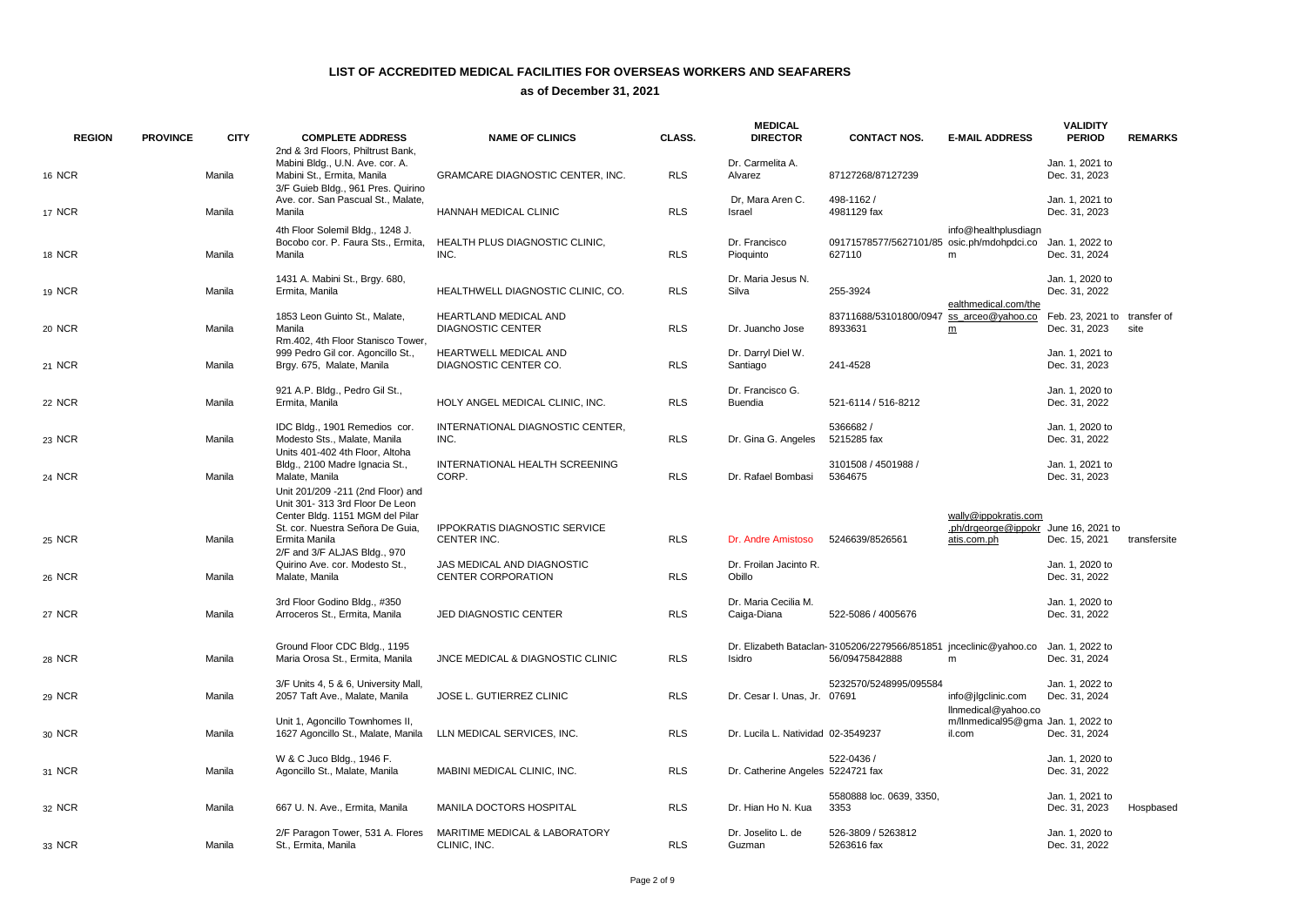| <b>REGION</b> | <b>PROVINCE</b> | <b>CITY</b> | <b>COMPLETE ADDRESS</b><br>2nd & 3rd Floors, Philtrust Bank,                                                                                           | <b>NAME OF CLINICS</b>                                   | CLASS.     | <b>MEDICAL</b><br><b>DIRECTOR</b>   | <b>CONTACT NOS.</b>                                                                  | <b>E-MAIL ADDRESS</b>                                                       | <b>VALIDITY</b><br><b>PERIOD</b>              | <b>REMARKS</b> |
|---------------|-----------------|-------------|--------------------------------------------------------------------------------------------------------------------------------------------------------|----------------------------------------------------------|------------|-------------------------------------|--------------------------------------------------------------------------------------|-----------------------------------------------------------------------------|-----------------------------------------------|----------------|
| 16 NCR        |                 | Manila      | Mabini Bldg., U.N. Ave. cor. A.<br>Mabini St., Ermita, Manila<br>3/F Guieb Bldg., 961 Pres. Quirino                                                    | GRAMCARE DIAGNOSTIC CENTER, INC.                         | <b>RLS</b> | Dr. Carmelita A.<br>Alvarez         | 87127268/87127239                                                                    |                                                                             | Jan. 1, 2021 to<br>Dec. 31, 2023              |                |
| <b>17 NCR</b> |                 | Manila      | Ave. cor. San Pascual St., Malate,<br>Manila                                                                                                           | HANNAH MEDICAL CLINIC                                    | <b>RLS</b> | Dr, Mara Aren C.<br>Israel          | 498-1162 /<br>4981129 fax                                                            |                                                                             | Jan. 1, 2021 to<br>Dec. 31, 2023              |                |
| 18 NCR        |                 | Manila      | 4th Floor Solemil Bldg., 1248 J.<br>Bocobo cor. P. Faura Sts., Ermita,<br>Manila                                                                       | HEALTH PLUS DIAGNOSTIC CLINIC,<br>INC.                   | <b>RLS</b> | Dr. Francisco<br>Pioquinto          | 09171578577/5627101/85 osic.ph/mdohpdci.co<br>627110                                 | info@healthplusdiagn<br>m                                                   | Jan. 1, 2022 to<br>Dec. 31, 2024              |                |
| 19 NCR        |                 | Manila      | 1431 A. Mabini St., Brgy. 680,<br>Ermita, Manila                                                                                                       | HEALTHWELL DIAGNOSTIC CLINIC, CO.                        | <b>RLS</b> | Dr. Maria Jesus N.<br>Silva         | 255-3924                                                                             | ealthmedical.com/the                                                        | Jan. 1. 2020 to<br>Dec. 31, 2022              |                |
| 20 NCR        |                 | Manila      | 1853 Leon Guinto St., Malate,<br>Manila<br>Rm.402. 4th Floor Stanisco Tower.                                                                           | <b>HEARTLAND MEDICAL AND</b><br><b>DIAGNOSTIC CENTER</b> | <b>RLS</b> | Dr. Juancho Jose                    | 83711688/53101800/0947<br>8933631                                                    | ss arceo@yahoo.co<br>m                                                      | Feb. 23, 2021 to transfer of<br>Dec. 31, 2023 | site           |
| 21 NCR        |                 | Manila      | 999 Pedro Gil cor. Agoncillo St.,<br>Brgy. 675, Malate, Manila                                                                                         | HEARTWELL MEDICAL AND<br>DIAGNOSTIC CENTER CO.           | <b>RLS</b> | Dr. Darryl Diel W.<br>Santiago      | 241-4528                                                                             |                                                                             | Jan. 1, 2021 to<br>Dec. 31, 2023              |                |
| 22 NCR        |                 | Manila      | 921 A.P. Bldg., Pedro Gil St.,<br>Ermita, Manila                                                                                                       | HOLY ANGEL MEDICAL CLINIC, INC.                          | <b>RLS</b> | Dr. Francisco G.<br><b>Buendia</b>  | 521-6114 / 516-8212                                                                  |                                                                             | Jan. 1, 2020 to<br>Dec. 31, 2022              |                |
| 23 NCR        |                 | Manila      | IDC Bldg., 1901 Remedios cor.<br>Modesto Sts., Malate, Manila<br>Units 401-402 4th Floor, Altoha                                                       | INTERNATIONAL DIAGNOSTIC CENTER,<br>INC.                 | <b>RLS</b> | Dr. Gina G. Angeles                 | 5366682/<br>5215285 fax                                                              |                                                                             | Jan. 1, 2020 to<br>Dec. 31, 2022              |                |
| 24 NCR        |                 | Manila      | Bldg., 2100 Madre Ignacia St.,<br>Malate, Manila<br>Unit 201/209 - 211 (2nd Floor) and                                                                 | INTERNATIONAL HEALTH SCREENING<br>CORP.                  | <b>RLS</b> | Dr. Rafael Bombasi                  | 3101508 / 4501988 /<br>5364675                                                       |                                                                             | Jan. 1, 2021 to<br>Dec. 31, 2023              |                |
| 25 NCR        |                 | Manila      | Unit 301-313 3rd Floor De Leon<br>Center Bldg. 1151 MGM del Pilar<br>St. cor. Nuestra Señora De Guia,<br>Ermita Manila<br>2/F and 3/F ALJAS Bldg., 970 | <b>IPPOKRATIS DIAGNOSTIC SERVICE</b><br>CENTER INC.      | <b>RLS</b> | Dr. Andre Amistoso                  | 5246639/8526561                                                                      | wally@ippokratis.com<br>.ph/drgeorge@ippokr June 16, 2021 to<br>atis.com.ph | Dec. 15, 2021                                 | transfersite   |
| 26 NCR        |                 | Manila      | Quirino Ave. cor. Modesto St.,<br>Malate, Manila                                                                                                       | JAS MEDICAL AND DIAGNOSTIC<br><b>CENTER CORPORATION</b>  | <b>RLS</b> | Dr. Froilan Jacinto R.<br>Obillo    |                                                                                      |                                                                             | Jan. 1, 2020 to<br>Dec. 31, 2022              |                |
| <b>27 NCR</b> |                 | Manila      | 3rd Floor Godino Bldg., #350<br>Arroceros St., Ermita, Manila                                                                                          | JED DIAGNOSTIC CENTER                                    | <b>RLS</b> | Dr. Maria Cecilia M.<br>Caiga-Diana | 522-5086 / 4005676                                                                   |                                                                             | Jan. 1, 2020 to<br>Dec. 31, 2022              |                |
| 28 NCR        |                 | Manila      | Ground Floor CDC Bldg., 1195<br>Maria Orosa St., Ermita, Manila                                                                                        | JNCE MEDICAL & DIAGNOSTIC CLINIC                         | <b>RLS</b> | Isidro                              | Dr. Elizabeth Bataclan- 3105206/2279566/851851 jnceclinic@yahoo.co<br>56/09475842888 | m                                                                           | Jan. 1, 2022 to<br>Dec. 31, 2024              |                |
| 29 NCR        |                 | Manila      | 3/F Units 4, 5 & 6, University Mall.<br>2057 Taft Ave., Malate, Manila                                                                                 | JOSE L. GUTIERREZ CLINIC                                 | <b>RLS</b> | Dr. Cesar I. Unas, Jr. 07691        | 5232570/5248995/095584                                                               | info@jlgclinic.com<br>llnmedical@yahoo.co                                   | Jan. 1. 2022 to<br>Dec. 31, 2024              |                |
| 30 NCR        |                 | Manila      | Unit 1, Agoncillo Townhomes II,<br>1627 Agoncillo St., Malate, Manila                                                                                  | LLN MEDICAL SERVICES, INC.                               | <b>RLS</b> | Dr. Lucila L. Natividad 02-3549237  |                                                                                      | m/llnmedical95@gma_Jan. 1, 2022 to<br>il.com                                | Dec. 31, 2024                                 |                |
| 31 NCR        |                 | Manila      | W & C Juco Bldg., 1946 F.<br>Agoncillo St., Malate, Manila                                                                                             | MABINI MEDICAL CLINIC, INC.                              | <b>RLS</b> | Dr. Catherine Angeles 5224721 fax   | 522-0436 /                                                                           |                                                                             | Jan. 1, 2020 to<br>Dec. 31, 2022              |                |
| 32 NCR        |                 | Manila      | 667 U. N. Ave., Ermita, Manila                                                                                                                         | MANILA DOCTORS HOSPITAL                                  | <b>RLS</b> | Dr. Hian Ho N. Kua                  | 5580888 loc. 0639, 3350,<br>3353                                                     |                                                                             | Jan. 1, 2021 to<br>Dec. 31, 2023              | Hospbased      |
| 33 NCR        |                 | Manila      | 2/F Paragon Tower, 531 A. Flores<br>St., Ermita, Manila                                                                                                | <b>MARITIME MEDICAL &amp; LABORATORY</b><br>CLINIC. INC. | <b>RLS</b> | Dr. Joselito L. de<br>Guzman        | 526-3809 / 5263812<br>5263616 fax                                                    |                                                                             | Jan. 1. 2020 to<br>Dec. 31, 2022              |                |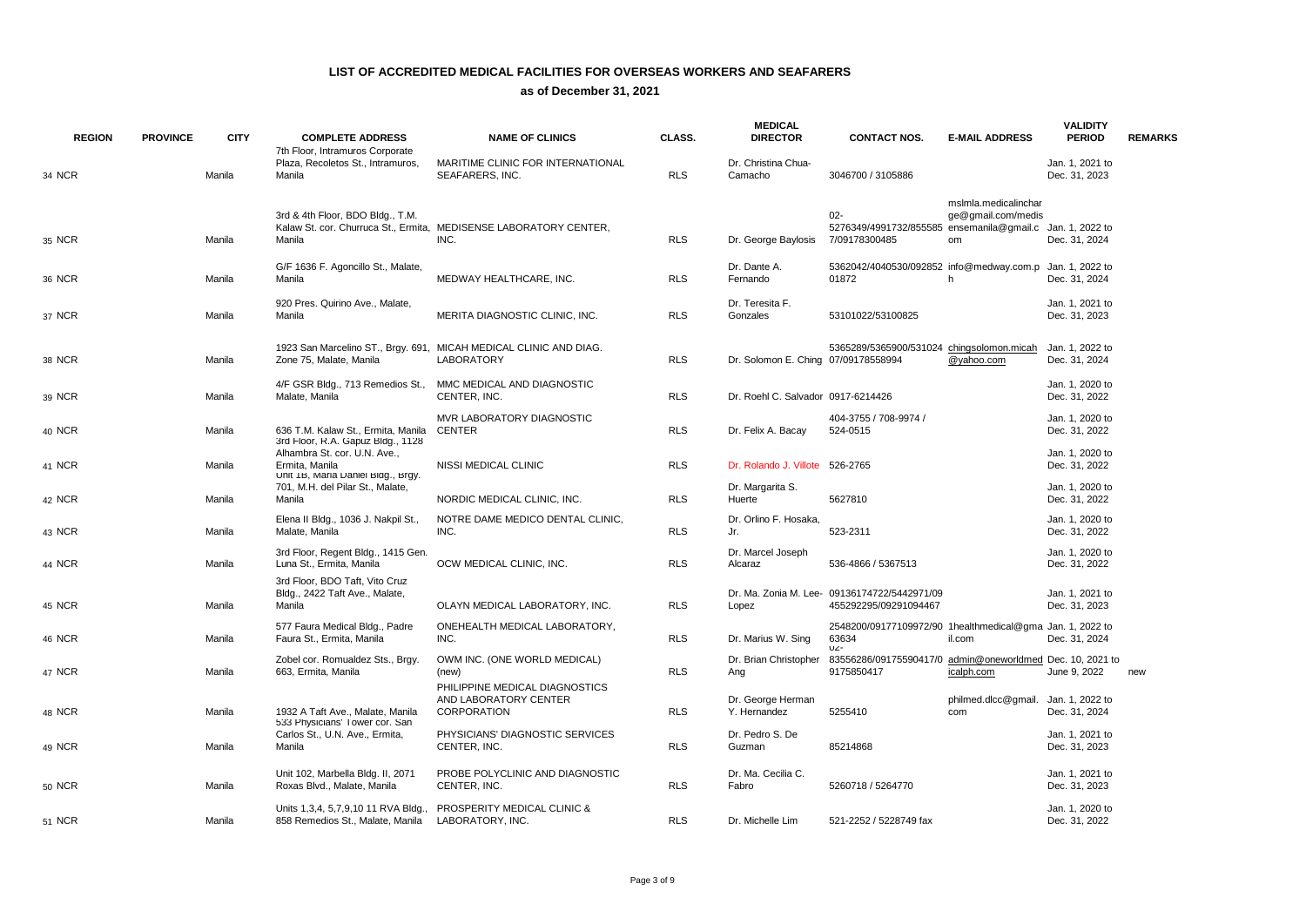| <b>REGION</b> | <b>PROVINCE</b> | <b>CITY</b> | <b>COMPLETE ADDRESS</b>                                                              | <b>NAME OF CLINICS</b>                                                                 | CLASS.     | <b>MEDICAL</b><br><b>DIRECTOR</b>   | <b>CONTACT NOS.</b>                                                                  | <b>E-MAIL ADDRESS</b>                            | <b>VALIDITY</b><br><b>PERIOD</b> | <b>REMARKS</b> |
|---------------|-----------------|-------------|--------------------------------------------------------------------------------------|----------------------------------------------------------------------------------------|------------|-------------------------------------|--------------------------------------------------------------------------------------|--------------------------------------------------|----------------------------------|----------------|
| 34 NCR        |                 | Manila      | 7th Floor, Intramuros Corporate<br>Plaza, Recoletos St., Intramuros,<br>Manila       | MARITIME CLINIC FOR INTERNATIONAL<br>SEAFARERS, INC.                                   | <b>RLS</b> | Dr. Christina Chua-<br>Camacho      | 3046700 / 3105886                                                                    |                                                  | Jan. 1, 2021 to<br>Dec. 31, 2023 |                |
| 35 NCR        |                 | Manila      | 3rd & 4th Floor, BDO Bldg., T.M.<br>Manila                                           | Kalaw St. cor. Churruca St., Ermita, MEDISENSE LABORATORY CENTER,<br>INC.              | <b>RLS</b> | Dr. George Baylosis                 | $02 -$<br>5276349/4991732/855585 ensemanila@gmail.c Jan. 1, 2022 to<br>7/09178300485 | mslmla.medicalinchar<br>ge@gmail.com/medis<br>om | Dec. 31, 2024                    |                |
| 36 NCR        |                 | Manila      | G/F 1636 F. Agoncillo St., Malate,<br>Manila                                         | MEDWAY HEALTHCARE, INC.                                                                | <b>RLS</b> | Dr. Dante A.<br>Fernando            | 5362042/4040530/092852 info@medway.com.p Jan. 1, 2022 to<br>01872                    | h                                                | Dec. 31, 2024                    |                |
| 37 NCR        |                 | Manila      | 920 Pres. Quirino Ave., Malate,<br>Manila                                            | MERITA DIAGNOSTIC CLINIC, INC.                                                         | <b>RLS</b> | Dr. Teresita F.<br>Gonzales         | 53101022/53100825                                                                    |                                                  | Jan. 1, 2021 to<br>Dec. 31, 2023 |                |
| 38 NCR        |                 | Manila      | Zone 75, Malate, Manila                                                              | 1923 San Marcelino ST., Brgy. 691, MICAH MEDICAL CLINIC AND DIAG.<br><b>LABORATORY</b> | <b>RLS</b> | Dr. Solomon E. Ching 07/09178558994 | 5365289/5365900/531024 chingsolomon.micah                                            | @yahoo.com                                       | Jan. 1, 2022 to<br>Dec. 31, 2024 |                |
| 39 NCR        |                 | Manila      | 4/F GSR Bldg., 713 Remedios St.,<br>Malate, Manila                                   | MMC MEDICAL AND DIAGNOSTIC<br>CENTER, INC.                                             | <b>RLS</b> | Dr. Roehl C. Salvador 0917-6214426  |                                                                                      |                                                  | Jan. 1, 2020 to<br>Dec. 31, 2022 |                |
| 40 NCR        |                 | Manila      | 636 T.M. Kalaw St., Ermita, Manila<br>3rd Floor, R.A. Gapuz Bldg., 1128              | MVR LABORATORY DIAGNOSTIC<br><b>CENTER</b>                                             | <b>RLS</b> | Dr. Felix A. Bacay                  | 404-3755 / 708-9974 /<br>524-0515                                                    |                                                  | Jan. 1, 2020 to<br>Dec. 31, 2022 |                |
| 41 NCR        |                 | Manila      | Alhambra St. cor. U.N. Ave.,<br>Ermita, Manila<br>Unit 1B, Maria Daniel Bldg., Brgy. | NISSI MEDICAL CLINIC                                                                   | <b>RLS</b> | Dr. Rolando J. Villote 526-2765     |                                                                                      |                                                  | Jan. 1, 2020 to<br>Dec. 31, 2022 |                |
| 42 NCR        |                 | Manila      | 701, M.H. del Pilar St., Malate,<br>Manila                                           | NORDIC MEDICAL CLINIC, INC.                                                            | <b>RLS</b> | Dr. Margarita S.<br>Huerte          | 5627810                                                                              |                                                  | Jan. 1, 2020 to<br>Dec. 31, 2022 |                |
| 43 NCR        |                 | Manila      | Elena II Bldg., 1036 J. Nakpil St.,<br>Malate, Manila                                | NOTRE DAME MEDICO DENTAL CLINIC,<br>INC.                                               | <b>RLS</b> | Dr. Orlino F. Hosaka,<br>Jr.        | 523-2311                                                                             |                                                  | Jan. 1, 2020 to<br>Dec. 31, 2022 |                |
| 44 NCR        |                 | Manila      | 3rd Floor, Regent Bldg., 1415 Gen.<br>Luna St., Ermita, Manila                       | OCW MEDICAL CLINIC, INC.                                                               | <b>RLS</b> | Dr. Marcel Joseph<br>Alcaraz        | 536-4866 / 5367513                                                                   |                                                  | Jan. 1, 2020 to<br>Dec. 31, 2022 |                |
| 45 NCR        |                 | Manila      | 3rd Floor, BDO Taft, Vito Cruz<br>Bldg., 2422 Taft Ave., Malate,<br>Manila           | OLAYN MEDICAL LABORATORY, INC.                                                         | <b>RLS</b> | Lopez                               | Dr. Ma. Zonia M. Lee- 09136174722/5442971/09<br>455292295/09291094467                |                                                  | Jan. 1, 2021 to<br>Dec. 31, 2023 |                |
| 46 NCR        |                 | Manila      | 577 Faura Medical Bldg., Padre<br>Faura St., Ermita, Manila                          | ONEHEALTH MEDICAL LABORATORY,<br>INC.                                                  | <b>RLS</b> | Dr. Marius W. Sing                  | 2548200/09177109972/90 1healthmedical@gma Jan. 1, 2022 to<br>63634<br>UZ-            | il.com                                           | Dec. 31, 2024                    |                |
| 47 NCR        |                 | Manila      | Zobel cor. Romualdez Sts., Brgy.<br>663, Ermita, Manila                              | OWM INC. (ONE WORLD MEDICAL)<br>(new)                                                  | <b>RLS</b> | Dr. Brian Christopher<br>Ang        | 83556286/09175590417/0 admin@oneworldmed Dec. 10, 2021 to<br>9175850417              | icalph.com                                       | June 9, 2022                     | new            |
| 48 NCR        |                 | Manila      | 1932 A Taft Ave., Malate, Manila<br>533 Physicians' Tower cor. San                   | PHILIPPINE MEDICAL DIAGNOSTICS<br>AND LABORATORY CENTER<br><b>CORPORATION</b>          | <b>RLS</b> | Dr. George Herman<br>Y. Hernandez   | 5255410                                                                              | philmed.dlcc@gmail.<br>com                       | Jan. 1, 2022 to<br>Dec. 31, 2024 |                |
| 49 NCR        |                 | Manila      | Carlos St., U.N. Ave., Ermita,<br>Manila                                             | PHYSICIANS' DIAGNOSTIC SERVICES<br>CENTER, INC.                                        | <b>RLS</b> | Dr. Pedro S. De<br>Guzman           | 85214868                                                                             |                                                  | Jan. 1, 2021 to<br>Dec. 31, 2023 |                |
| 50 NCR        |                 | Manila      | Unit 102, Marbella Bldg. II, 2071<br>Roxas Blvd., Malate, Manila                     | PROBE POLYCLINIC AND DIAGNOSTIC<br>CENTER, INC.                                        | <b>RLS</b> | Dr. Ma. Cecilia C.<br>Fabro         | 5260718 / 5264770                                                                    |                                                  | Jan. 1, 2021 to<br>Dec. 31, 2023 |                |
| <b>51 NCR</b> |                 | Manila      | Units 1,3,4, 5,7,9,10 11 RVA Bldg.,<br>858 Remedios St., Malate, Manila              | PROSPERITY MEDICAL CLINIC &<br>LABORATORY, INC.                                        | <b>RLS</b> | Dr. Michelle Lim                    | 521-2252 / 5228749 fax                                                               |                                                  | Jan. 1, 2020 to<br>Dec. 31, 2022 |                |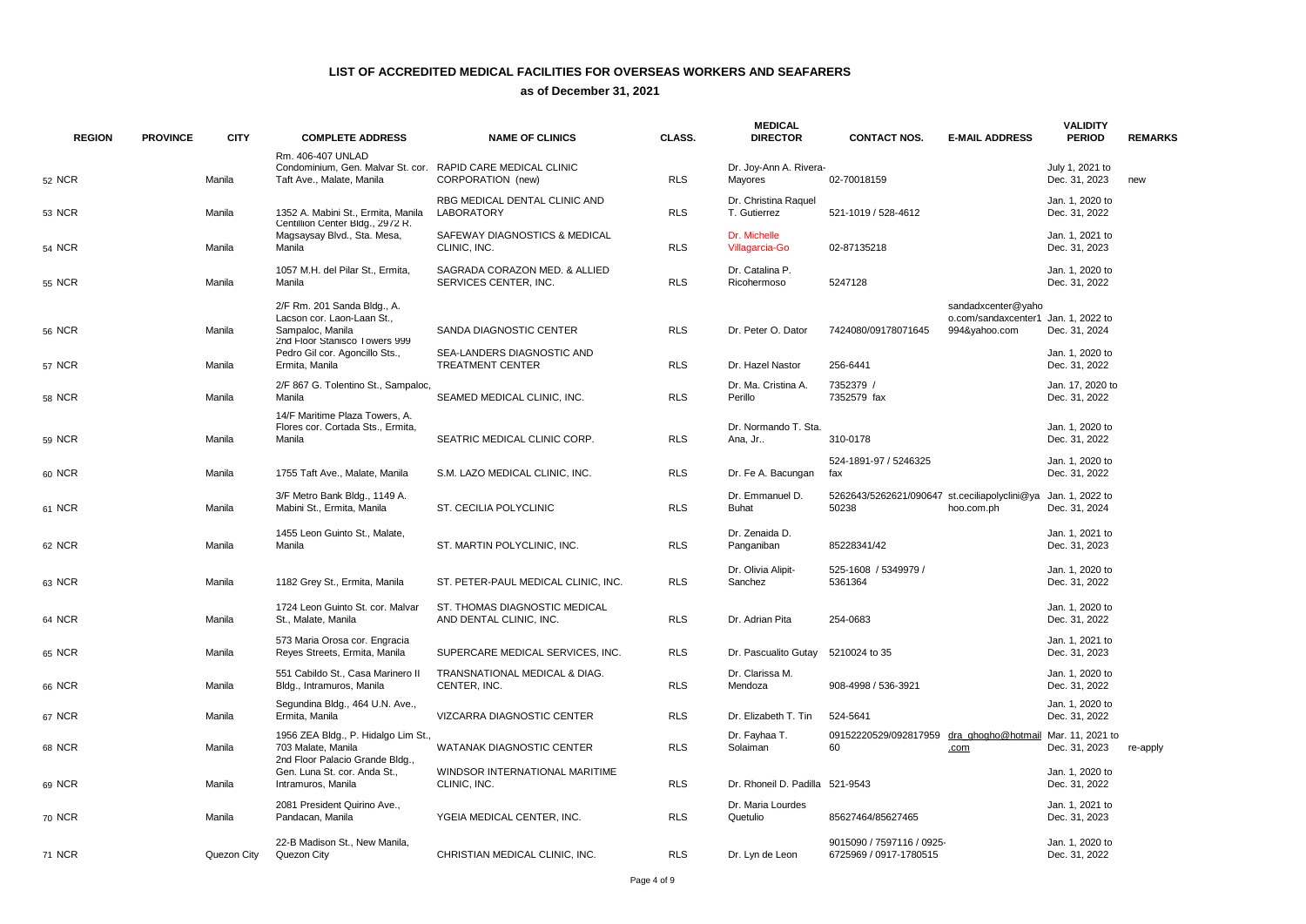| <b>REGION</b> | <b>PROVINCE</b> | <b>CITY</b> | <b>COMPLETE ADDRESS</b>                                                                                        | <b>NAME OF CLINICS</b>                                   | CLASS.     | <b>MEDICAL</b><br><b>DIRECTOR</b>    | <b>CONTACT NOS.</b>                                    | <b>E-MAIL ADDRESS</b>                                                      | <b>VALIDITY</b><br><b>PERIOD</b>  | <b>REMARKS</b> |
|---------------|-----------------|-------------|----------------------------------------------------------------------------------------------------------------|----------------------------------------------------------|------------|--------------------------------------|--------------------------------------------------------|----------------------------------------------------------------------------|-----------------------------------|----------------|
| 52 NCR        |                 | Manila      | Rm. 406-407 UNLAD<br>Condominium, Gen. Malvar St. cor. RAPID CARE MEDICAL CLINIC<br>Taft Ave., Malate, Manila  | CORPORATION (new)                                        | <b>RLS</b> | Dr. Joy-Ann A. Rivera-<br>Mayores    | 02-70018159                                            |                                                                            | July 1, 2021 to<br>Dec. 31, 2023  | new            |
| 53 NCR        |                 | Manila      | 1352 A. Mabini St., Ermita, Manila                                                                             | RBG MEDICAL DENTAL CLINIC AND<br>LABORATORY              | <b>RLS</b> | Dr. Christina Raquel<br>T. Gutierrez | 521-1019 / 528-4612                                    |                                                                            | Jan. 1, 2020 to<br>Dec. 31, 2022  |                |
| 54 NCR        |                 | Manila      | Centillion Center Bldg., 2972 R.<br>Magsaysay Blvd., Sta. Mesa,<br>Manila                                      | SAFEWAY DIAGNOSTICS & MEDICAL<br>CLINIC, INC.            | <b>RLS</b> | Dr. Michelle<br>Villagarcia-Go       | 02-87135218                                            |                                                                            | Jan. 1. 2021 to<br>Dec. 31, 2023  |                |
| 55 NCR        |                 | Manila      | 1057 M.H. del Pilar St., Ermita.<br>Manila                                                                     | SAGRADA CORAZON MED. & ALLIED<br>SERVICES CENTER, INC.   | <b>RLS</b> | Dr. Catalina P.<br>Ricohermoso       | 5247128                                                |                                                                            | Jan. 1, 2020 to<br>Dec. 31, 2022  |                |
| <b>56 NCR</b> |                 | Manila      | 2/F Rm. 201 Sanda Bldg., A.<br>Lacson cor. Laon-Laan St.,<br>Sampaloc, Manila<br>2nd Floor Stanisco Towers 999 | SANDA DIAGNOSTIC CENTER                                  | <b>RLS</b> | Dr. Peter O. Dator                   | 7424080/09178071645                                    | sandadxcenter@yaho<br>o.com/sandaxcenter1 Jan. 1, 2022 to<br>994&yahoo.com | Dec. 31, 2024                     |                |
| 57 NCR        |                 | Manila      | Pedro Gil cor. Agoncillo Sts.,<br>Ermita, Manila                                                               | SEA-LANDERS DIAGNOSTIC AND<br><b>TREATMENT CENTER</b>    | <b>RLS</b> | Dr. Hazel Nastor                     | 256-6441                                               |                                                                            | Jan. 1, 2020 to<br>Dec. 31, 2022  |                |
| 58 NCR        |                 | Manila      | 2/F 867 G. Tolentino St., Sampaloc,<br>Manila                                                                  | SEAMED MEDICAL CLINIC, INC.                              | <b>RLS</b> | Dr. Ma. Cristina A.<br>Perillo       | 7352379 /<br>7352579 fax                               |                                                                            | Jan. 17, 2020 to<br>Dec. 31, 2022 |                |
| 59 NCR        |                 | Manila      | 14/F Maritime Plaza Towers, A.<br>Flores cor. Cortada Sts., Ermita,<br>Manila                                  | SEATRIC MEDICAL CLINIC CORP.                             | <b>RLS</b> | Dr. Normando T. Sta.<br>Ana, Jr      | 310-0178                                               |                                                                            | Jan. 1, 2020 to<br>Dec. 31, 2022  |                |
| 60 NCR        |                 | Manila      | 1755 Taft Ave., Malate, Manila                                                                                 | S.M. LAZO MEDICAL CLINIC, INC.                           | <b>RLS</b> | Dr. Fe A. Bacungan                   | 524-1891-97 / 5246325<br>fax                           |                                                                            | Jan. 1, 2020 to<br>Dec. 31, 2022  |                |
| 61 NCR        |                 | Manila      | 3/F Metro Bank Bldg., 1149 A.<br>Mabini St., Ermita, Manila                                                    | ST. CECILIA POLYCLINIC                                   | <b>RLS</b> | Dr. Emmanuel D.<br><b>Buhat</b>      | 5262643/5262621/090647 st.ceciliapolyclini@ya<br>50238 | hoo.com.ph                                                                 | Jan. 1, 2022 to<br>Dec. 31, 2024  |                |
| 62 NCR        |                 | Manila      | 1455 Leon Guinto St., Malate,<br>Manila                                                                        | ST. MARTIN POLYCLINIC, INC.                              | <b>RLS</b> | Dr. Zenaida D.<br>Panganiban         | 85228341/42                                            |                                                                            | Jan. 1, 2021 to<br>Dec. 31, 2023  |                |
| 63 NCR        |                 | Manila      | 1182 Grey St., Ermita, Manila                                                                                  | ST. PETER-PAUL MEDICAL CLINIC, INC.                      | <b>RLS</b> | Dr. Olivia Alipit-<br>Sanchez        | 525-1608 / 5349979 /<br>5361364                        |                                                                            | Jan. 1, 2020 to<br>Dec. 31, 2022  |                |
| 64 NCR        |                 | Manila      | 1724 Leon Guinto St. cor. Malvar<br>St., Malate, Manila                                                        | ST. THOMAS DIAGNOSTIC MEDICAL<br>AND DENTAL CLINIC, INC. | <b>RLS</b> | Dr. Adrian Pita                      | 254-0683                                               |                                                                            | Jan. 1, 2020 to<br>Dec. 31, 2022  |                |
| 65 NCR        |                 | Manila      | 573 Maria Orosa cor. Engracia<br>Reyes Streets, Ermita, Manila                                                 | SUPERCARE MEDICAL SERVICES, INC.                         | <b>RLS</b> | Dr. Pascualito Gutay                 | 5210024 to 35                                          |                                                                            | Jan. 1, 2021 to<br>Dec. 31, 2023  |                |
| 66 NCR        |                 | Manila      | 551 Cabildo St., Casa Marinero II<br>Bldg., Intramuros, Manila                                                 | TRANSNATIONAL MEDICAL & DIAG.<br>CENTER, INC.            | <b>RLS</b> | Dr. Clarissa M.<br>Mendoza           | 908-4998 / 536-3921                                    |                                                                            | Jan. 1, 2020 to<br>Dec. 31, 2022  |                |
| 67 NCR        |                 | Manila      | Segundina Bldg., 464 U.N. Ave.,<br>Ermita, Manila                                                              | VIZCARRA DIAGNOSTIC CENTER                               | <b>RLS</b> | Dr. Elizabeth T. Tin                 | 524-5641                                               |                                                                            | Jan. 1, 2020 to<br>Dec. 31, 2022  |                |
| 68 NCR        |                 | Manila      | 1956 ZEA Bldg., P. Hidalgo Lim St.,<br>703 Malate, Manila<br>2nd Floor Palacio Grande Bldg.,                   | WATANAK DIAGNOSTIC CENTER                                | <b>RLS</b> | Dr. Fayhaa T.<br>Solaiman            | 09152220529/092817959<br>60                            | dra ghogho@hotmail Mar. 11, 2021 to<br>.com                                | Dec. 31, 2023                     | re-apply       |
| 69 NCR        |                 | Manila      | Gen. Luna St. cor. Anda St.,<br>Intramuros, Manila                                                             | WINDSOR INTERNATIONAL MARITIME<br>CLINIC, INC.           | <b>RLS</b> | Dr. Rhoneil D. Padilla 521-9543      |                                                        |                                                                            | Jan. 1, 2020 to<br>Dec. 31, 2022  |                |
| 70 NCR        |                 | Manila      | 2081 President Quirino Ave.,<br>Pandacan, Manila                                                               | YGEIA MEDICAL CENTER, INC.                               | <b>RLS</b> | Dr. Maria Lourdes<br>Quetulio        | 85627464/85627465                                      |                                                                            | Jan. 1, 2021 to<br>Dec. 31, 2023  |                |
| 71 NCR        |                 | Quezon City | 22-B Madison St., New Manila,<br>Quezon City                                                                   | CHRISTIAN MEDICAL CLINIC, INC.                           | <b>RLS</b> | Dr. Lyn de Leon                      | 9015090 / 7597116 / 0925-<br>6725969 / 0917-1780515    |                                                                            | Jan. 1, 2020 to<br>Dec. 31, 2022  |                |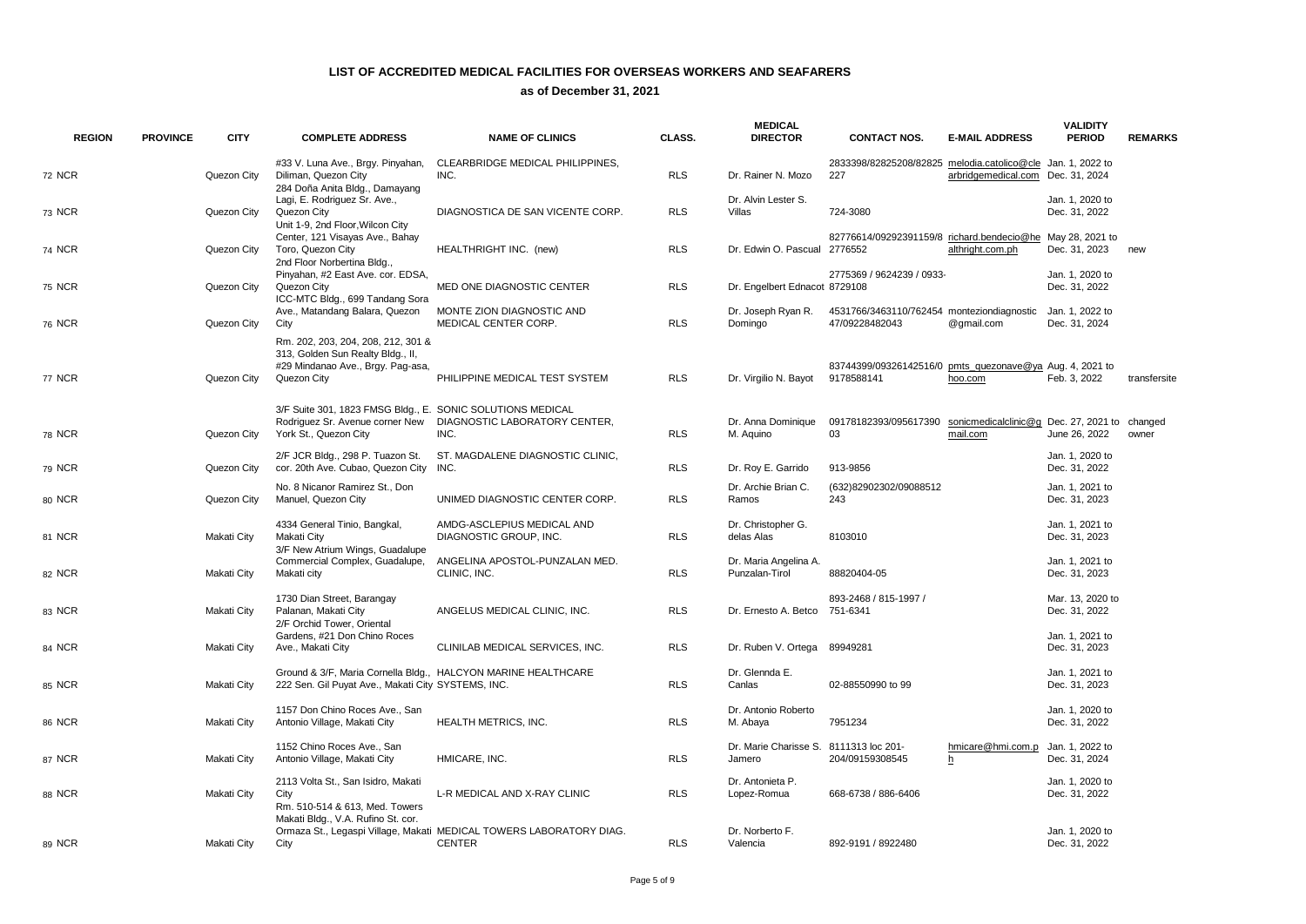| <b>REGION</b> | <b>PROVINCE</b> | <b>CITY</b> | <b>COMPLETE ADDRESS</b>                                                                                                     | <b>NAME OF CLINICS</b>                                                               | CLASS.     | <b>MEDICAL</b><br><b>DIRECTOR</b>                | <b>CONTACT NOS.</b>                                                    | <b>E-MAIL ADDRESS</b>                                     | <b>VALIDITY</b><br><b>PERIOD</b>  | <b>REMARKS</b> |
|---------------|-----------------|-------------|-----------------------------------------------------------------------------------------------------------------------------|--------------------------------------------------------------------------------------|------------|--------------------------------------------------|------------------------------------------------------------------------|-----------------------------------------------------------|-----------------------------------|----------------|
| <b>72 NCR</b> |                 | Quezon City | #33 V. Luna Ave., Brgy. Pinyahan,<br>Diliman, Quezon City<br>284 Doña Anita Bldg., Damayang                                 | CLEARBRIDGE MEDICAL PHILIPPINES,<br>INC.                                             | <b>RLS</b> | Dr. Rainer N. Mozo                               | 2833398/82825208/82825 melodia.catolico@cle Jan. 1, 2022 to<br>227     | arbridgemedical.com Dec. 31, 2024                         |                                   |                |
| 73 NCR        |                 | Quezon City | Lagi, E. Rodriguez Sr. Ave.,<br>Quezon City<br>Unit 1-9, 2nd Floor, Wilcon City                                             | DIAGNOSTICA DE SAN VICENTE CORP.                                                     | <b>RLS</b> | Dr. Alvin Lester S.<br>Villas                    | 724-3080                                                               |                                                           | Jan. 1. 2020 to<br>Dec. 31, 2022  |                |
| 74 NCR        |                 | Quezon City | Center, 121 Visayas Ave., Bahay<br>Toro, Quezon City<br>2nd Floor Norbertina Bldg.,                                         | HEALTHRIGHT INC. (new)                                                               | <b>RLS</b> | Dr. Edwin O. Pascual                             | 82776614/09292391159/8 richard.bendecio@he May 28, 2021 to<br>2776552  | althright.com.ph                                          | Dec. 31, 2023                     | new            |
| 75 NCR        |                 | Quezon City | Pinyahan, #2 East Ave. cor. EDSA,<br>Quezon City<br>ICC-MTC Bldg., 699 Tandang Sora                                         | MED ONE DIAGNOSTIC CENTER                                                            | <b>RLS</b> | Dr. Engelbert Ednacot 8729108                    | 2775369 / 9624239 / 0933-                                              |                                                           | Jan. 1. 2020 to<br>Dec. 31, 2022  |                |
| 76 NCR        |                 | Quezon City | Ave., Matandang Balara, Quezon<br>City                                                                                      | MONTE ZION DIAGNOSTIC AND<br>MEDICAL CENTER CORP.                                    | <b>RLS</b> | Dr. Joseph Ryan R.<br>Domingo                    | 4531766/3463110/762454 monteziondiagnostic<br>47/09228482043           | @gmail.com                                                | Jan. 1, 2022 to<br>Dec. 31, 2024  |                |
| 77 NCR        |                 | Quezon City | Rm. 202, 203, 204, 208, 212, 301 &<br>313, Golden Sun Realty Bldg., II,<br>#29 Mindanao Ave., Brgy. Pag-asa,<br>Quezon City | PHILIPPINE MEDICAL TEST SYSTEM                                                       | <b>RLS</b> | Dr. Virgilio N. Bayot                            | 83744399/09326142516/0 pmts_quezonave@ya Aug. 4, 2021 to<br>9178588141 | hoo.com                                                   | Feb. 3, 2022                      | transfersite   |
| 78 NCR        |                 | Quezon City | 3/F Suite 301, 1823 FMSG Bldg., E. SONIC SOLUTIONS MEDICAL<br>Rodriguez Sr. Avenue corner New<br>York St., Quezon City      | DIAGNOSTIC LABORATORY CENTER,<br>INC.                                                | <b>RLS</b> | Dr. Anna Dominique<br>M. Aquino                  | 09178182393/095617390<br>03                                            | sonicmedicalclinic@g Dec. 27, 2021 to changed<br>mail.com | June 26, 2022                     | owner          |
| 79 NCR        |                 | Quezon City | 2/F JCR Bldg., 298 P. Tuazon St.<br>cor. 20th Ave. Cubao, Quezon City                                                       | ST. MAGDALENE DIAGNOSTIC CLINIC,<br>INC.                                             | <b>RLS</b> | Dr. Roy E. Garrido                               | 913-9856                                                               |                                                           | Jan. 1, 2020 to<br>Dec. 31, 2022  |                |
| 80 NCR        |                 | Quezon City | No. 8 Nicanor Ramirez St., Don<br>Manuel, Quezon City                                                                       | UNIMED DIAGNOSTIC CENTER CORP.                                                       | <b>RLS</b> | Dr. Archie Brian C.<br>Ramos                     | (632)82902302/09088512<br>243                                          |                                                           | Jan. 1, 2021 to<br>Dec. 31, 2023  |                |
| 81 NCR        |                 | Makati City | 4334 General Tinio, Bangkal,<br>Makati City<br>3/F New Atrium Wings, Guadalupe                                              | AMDG-ASCLEPIUS MEDICAL AND<br>DIAGNOSTIC GROUP, INC.                                 | <b>RLS</b> | Dr. Christopher G.<br>delas Alas                 | 8103010                                                                |                                                           | Jan. 1, 2021 to<br>Dec. 31, 2023  |                |
| 82 NCR        |                 | Makati City | Commercial Complex, Guadalupe,<br>Makati city                                                                               | ANGELINA APOSTOL-PUNZALAN MED.<br>CLINIC, INC.                                       | <b>RLS</b> | Dr. Maria Angelina A.<br>Punzalan-Tirol          | 88820404-05                                                            |                                                           | Jan. 1, 2021 to<br>Dec. 31, 2023  |                |
| 83 NCR        |                 | Makati City | 1730 Dian Street, Barangay<br>Palanan, Makati City<br>2/F Orchid Tower, Oriental                                            | ANGELUS MEDICAL CLINIC, INC.                                                         | <b>RLS</b> | Dr. Ernesto A. Betco                             | 893-2468 / 815-1997 /<br>751-6341                                      |                                                           | Mar. 13, 2020 to<br>Dec. 31, 2022 |                |
| 84 NCR        |                 | Makati City | Gardens, #21 Don Chino Roces<br>Ave., Makati City                                                                           | CLINILAB MEDICAL SERVICES, INC.                                                      | <b>RLS</b> | Dr. Ruben V. Ortega                              | 89949281                                                               |                                                           | Jan. 1, 2021 to<br>Dec. 31, 2023  |                |
| 85 NCR        |                 | Makati City | 222 Sen. Gil Puyat Ave., Makati City SYSTEMS, INC.                                                                          | Ground & 3/F, Maria Cornella Bldg., HALCYON MARINE HEALTHCARE                        | <b>RLS</b> | Dr. Glennda E.<br>Canlas                         | 02-88550990 to 99                                                      |                                                           | Jan. 1, 2021 to<br>Dec. 31, 2023  |                |
| 86 NCR        |                 | Makati City | 1157 Don Chino Roces Ave., San<br>Antonio Village, Makati City                                                              | HEALTH METRICS, INC.                                                                 | <b>RLS</b> | Dr. Antonio Roberto<br>M. Abaya                  | 7951234                                                                |                                                           | Jan. 1, 2020 to<br>Dec. 31, 2022  |                |
| 87 NCR        |                 | Makati City | 1152 Chino Roces Ave., San<br>Antonio Village, Makati City                                                                  | HMICARE, INC.                                                                        | <b>RLS</b> | Dr. Marie Charisse S. 8111313 loc 201-<br>Jamero | 204/09159308545                                                        | hmicare@hmi.com.p<br>h                                    | Jan. 1, 2022 to<br>Dec. 31, 2024  |                |
| 88 NCR        |                 | Makati City | 2113 Volta St., San Isidro, Makati<br>City<br>Rm. 510-514 & 613, Med. Towers                                                | L-R MEDICAL AND X-RAY CLINIC                                                         | <b>RLS</b> | Dr. Antonieta P.<br>Lopez-Romua                  | 668-6738 / 886-6406                                                    |                                                           | Jan. 1, 2020 to<br>Dec. 31, 2022  |                |
| 89 NCR        |                 | Makati City | Makati Bldg., V.A. Rufino St. cor.<br>City                                                                                  | Ormaza St., Legaspi Village, Makati MEDICAL TOWERS LABORATORY DIAG.<br><b>CENTER</b> | <b>RLS</b> | Dr. Norberto F.<br>Valencia                      | 892-9191 / 8922480                                                     |                                                           | Jan. 1, 2020 to<br>Dec. 31, 2022  |                |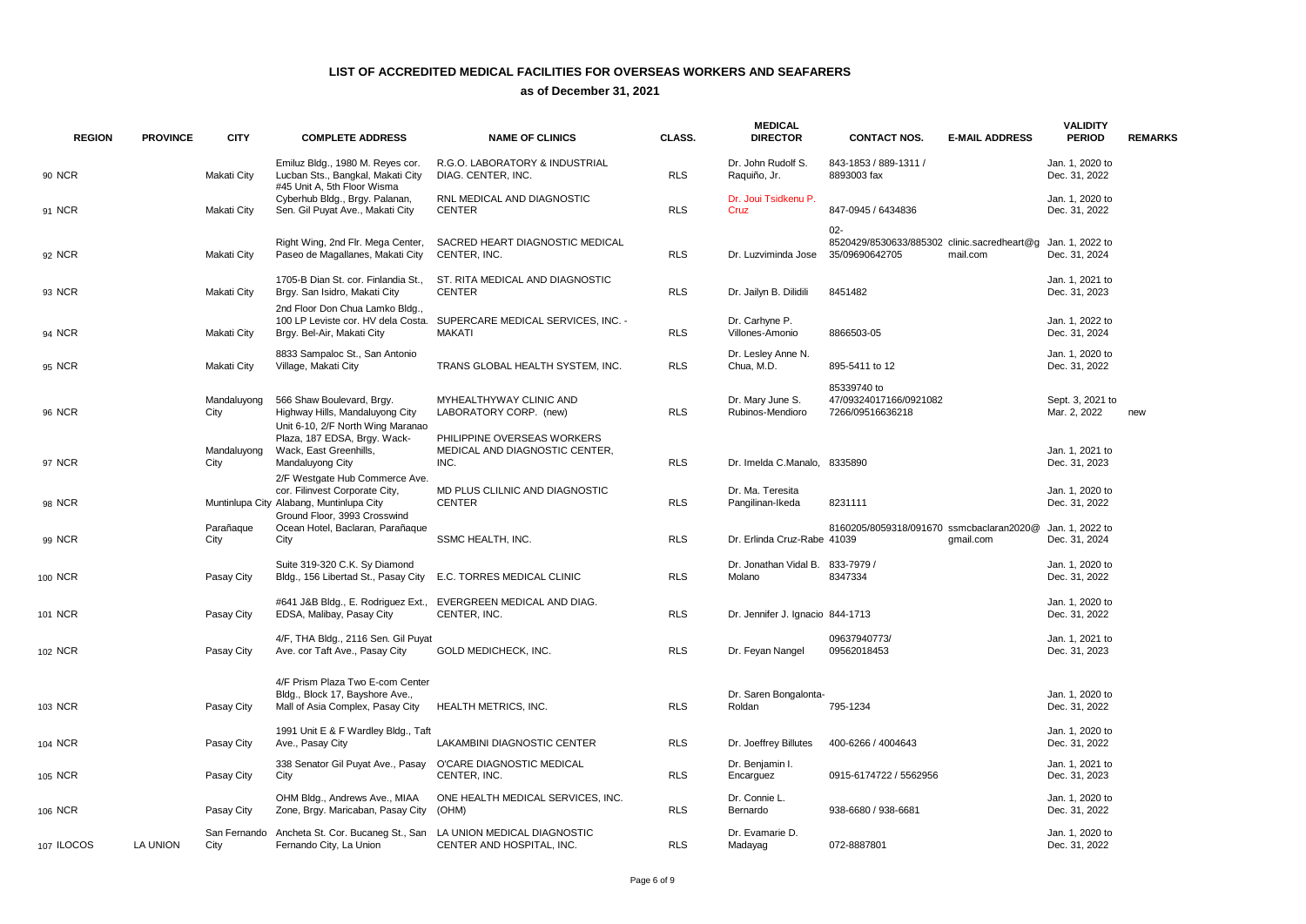| <b>REGION</b> | <b>PROVINCE</b> | <b>CITY</b>         | <b>COMPLETE ADDRESS</b>                                                                                                                      | <b>NAME OF CLINICS</b>                                                         | CLASS.     | <b>MEDICAL</b><br><b>DIRECTOR</b>          | <b>CONTACT NOS.</b>                                                     | <b>E-MAIL ADDRESS</b> | <b>VALIDITY</b><br><b>PERIOD</b> | <b>REMARKS</b> |
|---------------|-----------------|---------------------|----------------------------------------------------------------------------------------------------------------------------------------------|--------------------------------------------------------------------------------|------------|--------------------------------------------|-------------------------------------------------------------------------|-----------------------|----------------------------------|----------------|
| 90 NCR        |                 | Makati City         | Emiluz Bldg., 1980 M. Reyes cor.<br>Lucban Sts., Bangkal, Makati City<br>#45 Unit A, 5th Floor Wisma                                         | R.G.O. LABORATORY & INDUSTRIAL<br>DIAG. CENTER, INC.                           | <b>RLS</b> | Dr. John Rudolf S.<br>Raquiño, Jr.         | 843-1853 / 889-1311 /<br>8893003 fax                                    |                       | Jan. 1, 2020 to<br>Dec. 31, 2022 |                |
| 91 NCR        |                 | Makati City         | Cyberhub Bldg., Brgy. Palanan,<br>Sen. Gil Puyat Ave., Makati City                                                                           | RNL MEDICAL AND DIAGNOSTIC<br><b>CENTER</b>                                    | <b>RLS</b> | Dr. Joui Tsidkenu P.<br>Cruz               | 847-0945 / 6434836                                                      |                       | Jan. 1, 2020 to<br>Dec. 31, 2022 |                |
| 92 NCR        |                 | Makati City         | Right Wing, 2nd Flr. Mega Center,<br>Paseo de Magallanes, Makati City                                                                        | SACRED HEART DIAGNOSTIC MEDICAL<br>CENTER, INC.                                | <b>RLS</b> | Dr. Luzviminda Jose                        | $02 -$<br>8520429/8530633/885302 clinic.sacredheart@g<br>35/09690642705 | mail.com              | Jan. 1, 2022 to<br>Dec. 31, 2024 |                |
| 93 NCR        |                 | Makati City         | 1705-B Dian St. cor. Finlandia St.,<br>Brgy. San Isidro, Makati City                                                                         | ST. RITA MEDICAL AND DIAGNOSTIC<br><b>CENTER</b>                               | <b>RLS</b> | Dr. Jailyn B. Dilidili                     | 8451482                                                                 |                       | Jan. 1, 2021 to<br>Dec. 31, 2023 |                |
| 94 NCR        |                 | Makati City         | 2nd Floor Don Chua Lamko Bldg<br>100 LP Leviste cor. HV dela Costa.<br>Brgy. Bel-Air, Makati City                                            | SUPERCARE MEDICAL SERVICES, INC. -<br><b>MAKATI</b>                            | <b>RLS</b> | Dr. Carhyne P.<br>Villones-Amonio          | 8866503-05                                                              |                       | Jan. 1, 2022 to<br>Dec. 31, 2024 |                |
| 95 NCR        |                 | Makati City         | 8833 Sampaloc St., San Antonio<br>Village, Makati City                                                                                       | TRANS GLOBAL HEALTH SYSTEM, INC.                                               | <b>RLS</b> | Dr. Lesley Anne N.<br>Chua, M.D.           | 895-5411 to 12                                                          |                       | Jan. 1, 2020 to<br>Dec. 31, 2022 |                |
| 96 NCR        |                 | Mandaluyong<br>City | 566 Shaw Boulevard, Brgy.<br>Highway Hills, Mandaluyong City<br>Unit 6-10, 2/F North Wing Maranao                                            | MYHEALTHYWAY CLINIC AND<br>LABORATORY CORP. (new)                              | <b>RLS</b> | Dr. Mary June S.<br>Rubinos-Mendioro       | 85339740 to<br>47/09324017166/0921082<br>7266/09516636218               |                       | Sept. 3, 2021 to<br>Mar. 2, 2022 | new            |
| 97 NCR        |                 | Mandaluyong<br>City | Plaza, 187 EDSA, Brgy. Wack-<br>Wack, East Greenhills,<br>Mandaluyong City                                                                   | PHILIPPINE OVERSEAS WORKERS<br>MEDICAL AND DIAGNOSTIC CENTER,<br>INC.          | <b>RLS</b> | Dr. Imelda C.Manalo, 8335890               |                                                                         |                       | Jan. 1, 2021 to<br>Dec. 31, 2023 |                |
| 98 NCR        |                 |                     | 2/F Westgate Hub Commerce Ave.<br>cor. Filinvest Corporate City,<br>Muntinlupa City Alabang, Muntinlupa City<br>Ground Floor, 3993 Crosswind | MD PLUS CLILNIC AND DIAGNOSTIC<br><b>CENTER</b>                                | <b>RLS</b> | Dr. Ma. Teresita<br>Pangilinan-Ikeda       | 8231111                                                                 |                       | Jan. 1, 2020 to<br>Dec. 31, 2022 |                |
| 99 NCR        |                 | Parañaque<br>City   | Ocean Hotel, Baclaran, Parañaque<br>City                                                                                                     | SSMC HEALTH, INC.                                                              | <b>RLS</b> | Dr. Erlinda Cruz-Rabe 41039                | 8160205/8059318/091670 ssmcbaclaran2020@                                | qmail.com             | Jan. 1, 2022 to<br>Dec. 31, 2024 |                |
| 100 NCR       |                 | Pasay City          | Suite 319-320 C.K. Sy Diamond<br>Bldg., 156 Libertad St., Pasay City                                                                         | E.C. TORRES MEDICAL CLINIC                                                     | <b>RLS</b> | Dr. Jonathan Vidal B. 833-7979 /<br>Molano | 8347334                                                                 |                       | Jan. 1, 2020 to<br>Dec. 31, 2022 |                |
| 101 NCR       |                 | Pasay City          | EDSA, Malibay, Pasay City                                                                                                                    | #641 J&B Bldg., E. Rodriguez Ext., EVERGREEN MEDICAL AND DIAG.<br>CENTER, INC. | <b>RLS</b> | Dr. Jennifer J. Ignacio 844-1713           |                                                                         |                       | Jan. 1, 2020 to<br>Dec. 31, 2022 |                |
| 102 NCR       |                 | Pasay City          | 4/F, THA Bldg., 2116 Sen. Gil Puyat<br>Ave. cor Taft Ave., Pasay City                                                                        | GOLD MEDICHECK, INC.                                                           | <b>RLS</b> | Dr. Feyan Nangel                           | 09637940773/<br>09562018453                                             |                       | Jan. 1, 2021 to<br>Dec. 31, 2023 |                |
| 103 NCR       |                 | Pasay City          | 4/F Prism Plaza Two E-com Center<br>Bldg., Block 17, Bayshore Ave.,<br>Mall of Asia Complex, Pasay City                                      | <b>HEALTH METRICS, INC.</b>                                                    | <b>RLS</b> | Dr. Saren Bongalonta-<br>Roldan            | 795-1234                                                                |                       | Jan. 1, 2020 to<br>Dec. 31, 2022 |                |
| 104 NCR       |                 | Pasay City          | 1991 Unit E & F Wardley Bldg., Taft<br>Ave., Pasay City                                                                                      | LAKAMBINI DIAGNOSTIC CENTER                                                    | <b>RLS</b> | Dr. Joeffrey Billutes                      | 400-6266 / 4004643                                                      |                       | Jan. 1, 2020 to<br>Dec. 31, 2022 |                |
| 105 NCR       |                 | Pasay City          | 338 Senator Gil Puyat Ave., Pasay O'CARE DIAGNOSTIC MEDICAL<br>City                                                                          | CENTER, INC.                                                                   | <b>RLS</b> | Dr. Benjamin I.<br>Encarguez               | 0915-6174722 / 5562956                                                  |                       | Jan. 1, 2021 to<br>Dec. 31, 2023 |                |
| 106 NCR       |                 | Pasay City          | OHM Bldg., Andrews Ave., MIAA<br>Zone, Brgy. Maricaban, Pasay City                                                                           | ONE HEALTH MEDICAL SERVICES, INC.<br>(OHM)                                     | <b>RLS</b> | Dr. Connie L.<br>Bernardo                  | 938-6680 / 938-6681                                                     |                       | Jan. 1, 2020 to<br>Dec. 31, 2022 |                |
| 107 ILOCOS    | LA UNION        | City                | San Fernando Ancheta St. Cor. Bucaneg St., San LA UNION MEDICAL DIAGNOSTIC<br>Fernando City, La Union                                        | CENTER AND HOSPITAL, INC.                                                      | <b>RLS</b> | Dr. Evamarie D.<br>Madayag                 | 072-8887801                                                             |                       | Jan. 1, 2020 to<br>Dec. 31, 2022 |                |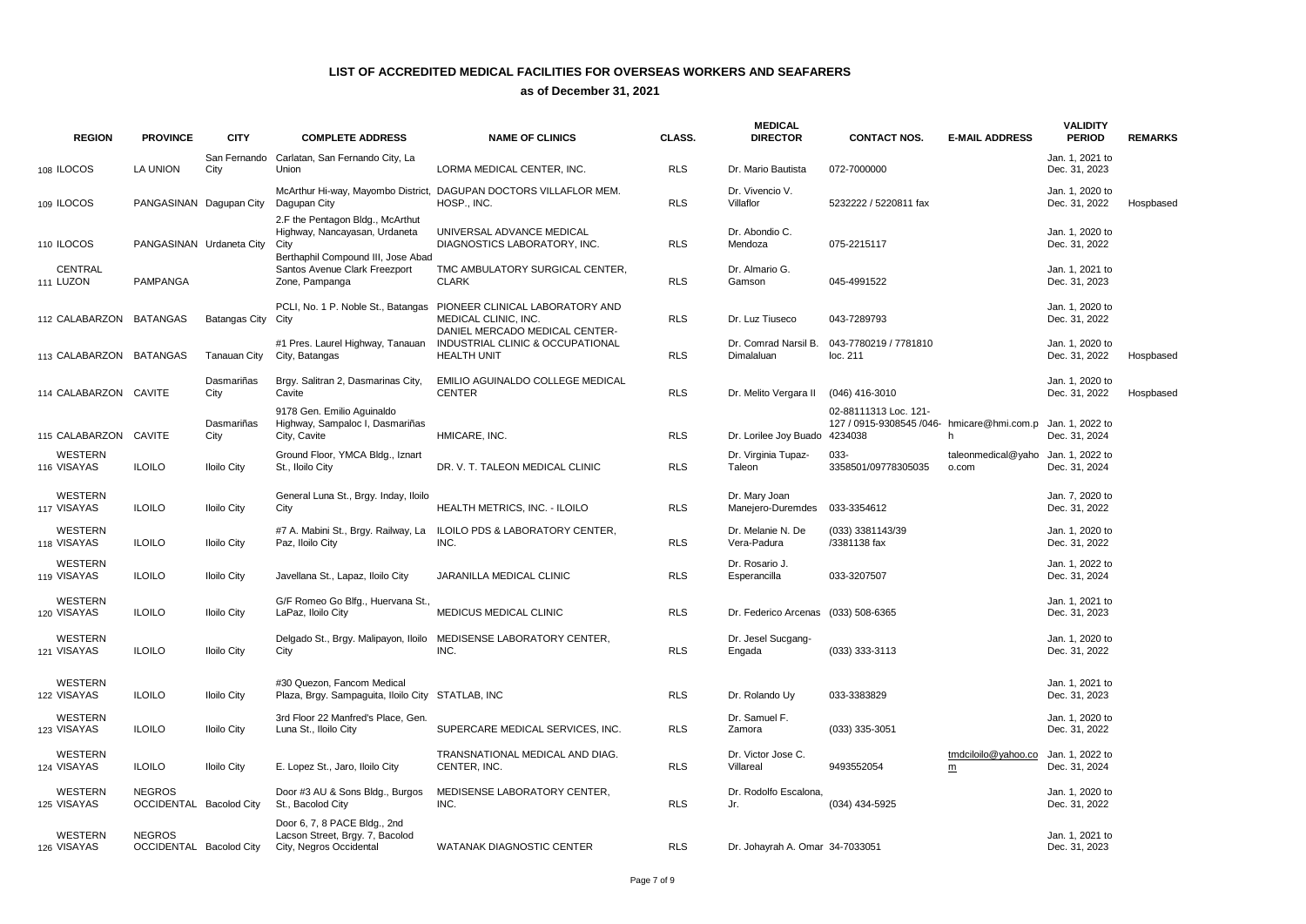| <b>REGION</b>                 | <b>PROVINCE</b>                                 | <b>CITY</b>          | <b>COMPLETE ADDRESS</b>                                                                    | <b>NAME OF CLINICS</b>                                                                                                       | CLASS.     | <b>MEDICAL</b><br><b>DIRECTOR</b>   | <b>CONTACT NOS.</b>                                                            | <b>E-MAIL ADDRESS</b>                           | <b>VALIDITY</b><br><b>PERIOD</b> | <b>REMARKS</b> |
|-------------------------------|-------------------------------------------------|----------------------|--------------------------------------------------------------------------------------------|------------------------------------------------------------------------------------------------------------------------------|------------|-------------------------------------|--------------------------------------------------------------------------------|-------------------------------------------------|----------------------------------|----------------|
| 108 ILOCOS                    | LA UNION                                        | San Fernando<br>City | Carlatan, San Fernando City, La<br>Union                                                   | LORMA MEDICAL CENTER, INC.                                                                                                   | <b>RLS</b> | Dr. Mario Bautista                  | 072-7000000                                                                    |                                                 | Jan. 1, 2021 to<br>Dec. 31, 2023 |                |
| 109 ILOCOS                    | PANGASINAN Dagupan City                         |                      | Dagupan City                                                                               | McArthur Hi-way, Mayombo District, DAGUPAN DOCTORS VILLAFLOR MEM.<br>HOSP., INC.                                             | <b>RLS</b> | Dr. Vivencio V.<br>Villaflor        | 5232222 / 5220811 fax                                                          |                                                 | Jan. 1, 2020 to<br>Dec. 31, 2022 | Hospbased      |
| 110 ILOCOS                    | PANGASINAN Urdaneta City                        |                      | 2.F the Pentagon Bldg., McArthut<br>Highway, Nancayasan, Urdaneta<br>City                  | UNIVERSAL ADVANCE MEDICAL<br>DIAGNOSTICS LABORATORY, INC.                                                                    | <b>RLS</b> | Dr. Abondio C.<br>Mendoza           | 075-2215117                                                                    |                                                 | Jan. 1, 2020 to<br>Dec. 31, 2022 |                |
| CENTRAL<br>111 LUZON          | <b>PAMPANGA</b>                                 |                      | Berthaphil Compound III, Jose Abad<br>Santos Avenue Clark Freezport<br>Zone, Pampanga      | TMC AMBULATORY SURGICAL CENTER,<br><b>CLARK</b>                                                                              | <b>RLS</b> | Dr. Almario G.<br>Gamson            | 045-4991522                                                                    |                                                 | Jan. 1, 2021 to<br>Dec. 31, 2023 |                |
| 112 CALABARZON                | <b>BATANGAS</b>                                 | Batangas City City   |                                                                                            | PCLI, No. 1 P. Noble St., Batangas PIONEER CLINICAL LABORATORY AND<br>MEDICAL CLINIC, INC.<br>DANIEL MERCADO MEDICAL CENTER- | <b>RLS</b> | Dr. Luz Tiuseco                     | 043-7289793                                                                    |                                                 | Jan. 1, 2020 to<br>Dec. 31, 2022 |                |
| 113 CALABARZON BATANGAS       |                                                 | Tanauan City         | #1 Pres. Laurel Highway, Tanauan<br>City, Batangas                                         | INDUSTRIAL CLINIC & OCCUPATIONAL<br><b>HEALTH UNIT</b>                                                                       | <b>RLS</b> | Dr. Comrad Narsil B.<br>Dimalaluan  | 043-7780219 / 7781810<br>loc. 211                                              |                                                 | Jan. 1, 2020 to<br>Dec. 31, 2022 | Hospbased      |
| 114 CALABARZON CAVITE         |                                                 | Dasmariñas<br>City   | Brgy. Salitran 2, Dasmarinas City,<br>Cavite                                               | EMILIO AGUINALDO COLLEGE MEDICAL<br><b>CENTER</b>                                                                            | <b>RLS</b> | Dr. Melito Vergara II               | (046) 416-3010                                                                 |                                                 | Jan. 1, 2020 to<br>Dec. 31, 2022 | Hospbased      |
| 115 CALABARZON                | <b>CAVITE</b>                                   | Dasmariñas<br>City   | 9178 Gen. Emilio Aguinaldo<br>Highway, Sampaloc I, Dasmariñas<br>City, Cavite              | HMICARE, INC.                                                                                                                | <b>RLS</b> | Dr. Lorilee Joy Buado               | 02-88111313 Loc. 121-<br>127 / 0915-9308545 /046- hmicare@hmi.com.p<br>4234038 | h                                               | Jan. 1, 2022 to<br>Dec. 31, 2024 |                |
| <b>WESTERN</b><br>116 VISAYAS | <b>ILOILO</b>                                   | <b>Iloilo City</b>   | Ground Floor, YMCA Bldg., Iznart<br>St., Iloilo City                                       | DR. V. T. TALEON MEDICAL CLINIC                                                                                              | <b>RLS</b> | Dr. Virginia Tupaz-<br>Taleon       | 033-<br>3358501/09778305035                                                    | taleonmedical@yaho<br>o.com                     | Jan. 1, 2022 to<br>Dec. 31, 2024 |                |
| WESTERN<br>117 VISAYAS        | <b>ILOILO</b>                                   | <b>Iloilo City</b>   | General Luna St., Brgy. Inday, Iloilo<br>City                                              | HEALTH METRICS, INC. - ILOILO                                                                                                | <b>RLS</b> | Dr. Mary Joan<br>Manejero-Duremdes  | 033-3354612                                                                    |                                                 | Jan. 7, 2020 to<br>Dec. 31, 2022 |                |
| WESTERN<br>118 VISAYAS        | <b>ILOILO</b>                                   | <b>Iloilo City</b>   | #7 A. Mabini St., Brgy. Railway, La<br>Paz, Iloilo City                                    | ILOILO PDS & LABORATORY CENTER,<br>INC.                                                                                      | <b>RLS</b> | Dr. Melanie N. De<br>Vera-Padura    | (033) 3381143/39<br>/3381138 fax                                               |                                                 | Jan. 1, 2020 to<br>Dec. 31, 2022 |                |
| <b>WESTERN</b><br>119 VISAYAS | <b>ILOILO</b>                                   | <b>Iloilo City</b>   | Javellana St., Lapaz, Iloilo City                                                          | JARANILLA MEDICAL CLINIC                                                                                                     | <b>RLS</b> | Dr. Rosario J.<br>Esperancilla      | 033-3207507                                                                    |                                                 | Jan. 1, 2022 to<br>Dec. 31, 2024 |                |
| <b>WESTERN</b><br>120 VISAYAS | <b>ILOILO</b>                                   | <b>Iloilo City</b>   | G/F Romeo Go Blfg., Huervana St.,<br>LaPaz, Iloilo City                                    | <b>MEDICUS MEDICAL CLINIC</b>                                                                                                | <b>RLS</b> | Dr. Federico Arcenas (033) 508-6365 |                                                                                |                                                 | Jan. 1, 2021 to<br>Dec. 31, 2023 |                |
| WESTERN<br>121 VISAYAS        | <b>ILOILO</b>                                   | <b>Iloilo City</b>   | Delgado St., Brgy. Malipayon, Iloilo<br>City                                               | MEDISENSE LABORATORY CENTER,<br>INC.                                                                                         | <b>RLS</b> | Dr. Jesel Sucgang-<br>Engada        | (033) 333-3113                                                                 |                                                 | Jan. 1, 2020 to<br>Dec. 31, 2022 |                |
| WESTERN<br>122 VISAYAS        | <b>ILOILO</b>                                   | <b>Iloilo City</b>   | #30 Quezon, Fancom Medical<br>Plaza, Brgy. Sampaguita, Iloilo City STATLAB, INC            |                                                                                                                              | <b>RLS</b> | Dr. Rolando Uy                      | 033-3383829                                                                    |                                                 | Jan. 1, 2021 to<br>Dec. 31, 2023 |                |
| WESTERN<br>123 VISAYAS        | <b>ILOILO</b>                                   | <b>Iloilo City</b>   | 3rd Floor 22 Manfred's Place, Gen.<br>Luna St., Iloilo City                                | SUPERCARE MEDICAL SERVICES, INC.                                                                                             | <b>RLS</b> | Dr. Samuel F.<br>Zamora             | (033) 335-3051                                                                 |                                                 | Jan. 1, 2020 to<br>Dec. 31, 2022 |                |
| WESTERN<br>124 VISAYAS        | <b>ILOILO</b>                                   | <b>Iloilo City</b>   | E. Lopez St., Jaro, Iloilo City                                                            | TRANSNATIONAL MEDICAL AND DIAG.<br>CENTER, INC.                                                                              | <b>RLS</b> | Dr. Victor Jose C.<br>Villareal     | 9493552054                                                                     | tmdciloilo@yahoo.co<br>$\underline{\mathsf{m}}$ | Jan. 1, 2022 to<br>Dec. 31, 2024 |                |
| <b>WESTERN</b><br>125 VISAYAS | <b>NEGROS</b><br><b>OCCIDENTAL Bacolod City</b> |                      | Door #3 AU & Sons Bldg., Burgos<br>St., Bacolod City                                       | MEDISENSE LABORATORY CENTER,<br>INC.                                                                                         | <b>RLS</b> | Dr. Rodolfo Escalona.<br>Jr.        | (034) 434-5925                                                                 |                                                 | Jan. 1, 2020 to<br>Dec. 31, 2022 |                |
| <b>WESTERN</b><br>126 VISAYAS | <b>NEGROS</b><br><b>OCCIDENTAL Bacolod City</b> |                      | Door 6, 7, 8 PACE Bldg., 2nd<br>Lacson Street, Brgy. 7, Bacolod<br>City, Negros Occidental | <b>WATANAK DIAGNOSTIC CENTER</b>                                                                                             | <b>RLS</b> | Dr. Johavrah A. Omar 34-7033051     |                                                                                |                                                 | Jan. 1, 2021 to<br>Dec. 31, 2023 |                |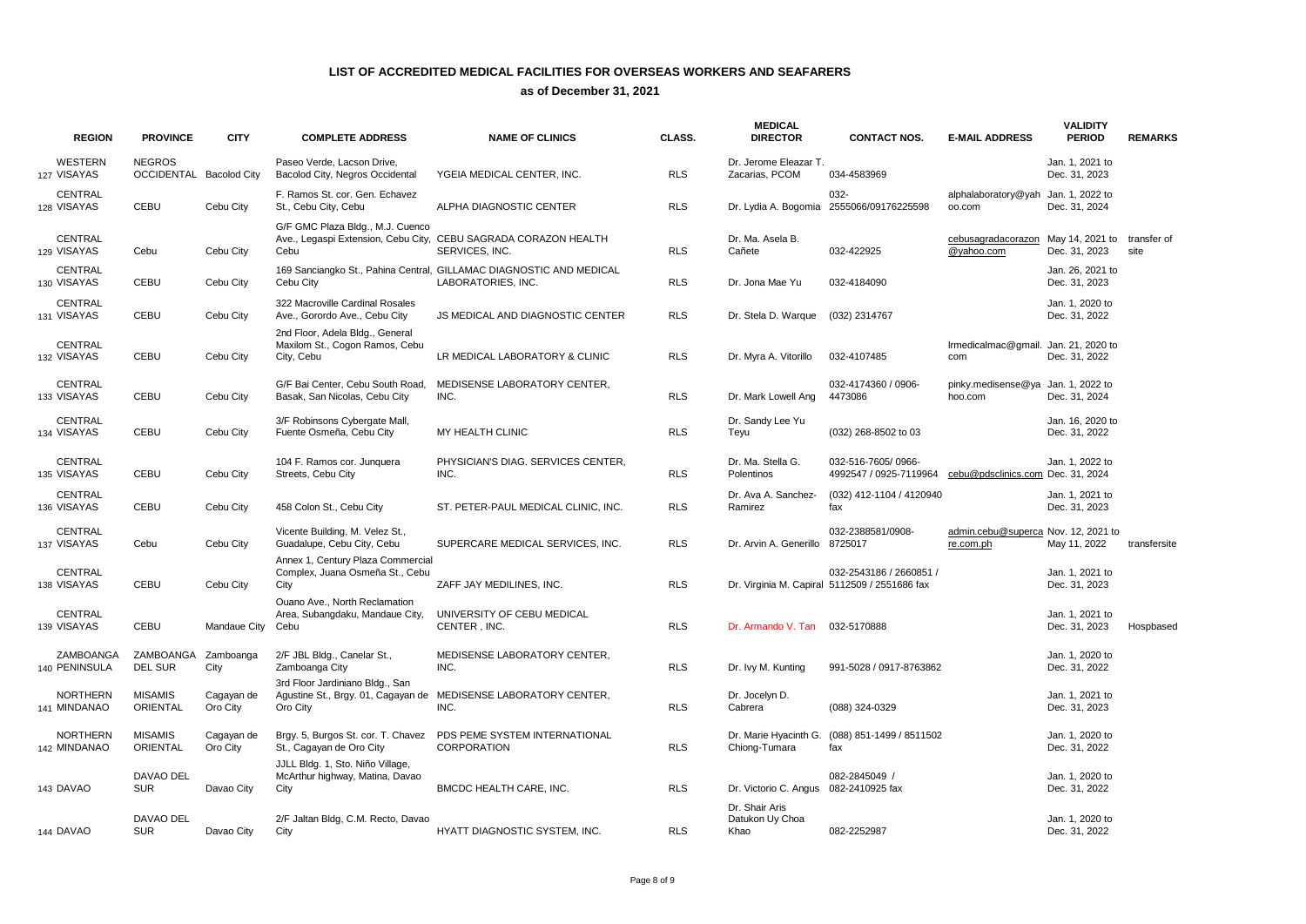| <b>REGION</b>                   | <b>PROVINCE</b>                          | <b>CITY</b>            | <b>COMPLETE ADDRESS</b>                                                         | <b>NAME OF CLINICS</b>                                                                    | CLASS.     | <b>MEDICAL</b><br><b>DIRECTOR</b>         | <b>CONTACT NOS.</b>                                                      | <b>E-MAIL ADDRESS</b>                            | <b>VALIDITY</b><br><b>PERIOD</b>             | <b>REMARKS</b> |
|---------------------------------|------------------------------------------|------------------------|---------------------------------------------------------------------------------|-------------------------------------------------------------------------------------------|------------|-------------------------------------------|--------------------------------------------------------------------------|--------------------------------------------------|----------------------------------------------|----------------|
| <b>WESTERN</b><br>127 VISAYAS   | <b>NEGROS</b><br>OCCIDENTAL Bacolod City |                        | Paseo Verde, Lacson Drive.<br>Bacolod City, Negros Occidental                   | YGEIA MEDICAL CENTER, INC.                                                                | <b>RLS</b> | Dr. Jerome Eleazar T.<br>Zacarias, PCOM   | 034-4583969                                                              |                                                  | Jan. 1. 2021 to<br>Dec. 31, 2023             |                |
| <b>CENTRAL</b><br>128 VISAYAS   | CEBU                                     | Cebu City              | F. Ramos St. cor. Gen. Echavez<br>St., Cebu City, Cebu                          | ALPHA DIAGNOSTIC CENTER                                                                   | <b>RLS</b> |                                           | $032 -$<br>Dr. Lydia A. Bogomia 2555066/09176225598                      | alphalaboratory@yah Jan. 1, 2022 to<br>00.com    | Dec. 31, 2024                                |                |
| <b>CENTRAL</b><br>129 VISAYAS   | Cebu                                     | Cebu City              | G/F GMC Plaza Bldg., M.J. Cuenco<br>Cebu                                        | Ave., Legaspi Extension, Cebu City, CEBU SAGRADA CORAZON HEALTH<br>SERVICES, INC.         | <b>RLS</b> | Dr. Ma. Asela B.<br>Cañete                | 032-422925                                                               | cebusagradacorazon<br>@yahoo.com                 | May 14, 2021 to transfer of<br>Dec. 31, 2023 | site           |
| <b>CENTRAL</b><br>130 VISAYAS   | <b>CEBU</b>                              | Cebu City              | Cebu City                                                                       | 169 Sanciangko St., Pahina Central, GILLAMAC DIAGNOSTIC AND MEDICAL<br>LABORATORIES, INC. | <b>RLS</b> | Dr. Jona Mae Yu                           | 032-4184090                                                              |                                                  | Jan. 26, 2021 to<br>Dec. 31, 2023            |                |
| CENTRAL<br>131 VISAYAS          | <b>CEBU</b>                              | Cebu City              | 322 Macroville Cardinal Rosales<br>Ave., Gorordo Ave., Cebu City                | <b>JS MEDICAL AND DIAGNOSTIC CENTER</b>                                                   | <b>RLS</b> | Dr. Stela D. Warque                       | (032) 2314767                                                            |                                                  | Jan. 1, 2020 to<br>Dec. 31, 2022             |                |
| <b>CENTRAL</b><br>132 VISAYAS   | CEBU                                     | Cebu City              | 2nd Floor, Adela Bldg., General<br>Maxilom St., Cogon Ramos, Cebu<br>City, Cebu | LR MEDICAL LABORATORY & CLINIC                                                            | <b>RLS</b> | Dr. Myra A. Vitorillo                     | 032-4107485                                                              | Irmedicalmac@gmail. Jan. 21, 2020 to<br>com      | Dec. 31, 2022                                |                |
| <b>CENTRAL</b><br>133 VISAYAS   | CEBU                                     | Cebu City              | G/F Bai Center, Cebu South Road,<br>Basak, San Nicolas, Cebu City               | MEDISENSE LABORATORY CENTER,<br>INC.                                                      | <b>RLS</b> | Dr. Mark Lowell Ang                       | 032-4174360 / 0906-<br>4473086                                           | pinky.medisense@ya Jan. 1, 2022 to<br>hoo.com    | Dec. 31, 2024                                |                |
| <b>CENTRAL</b><br>134 VISAYAS   | CEBU                                     | Cebu City              | 3/F Robinsons Cybergate Mall,<br>Fuente Osmeña, Cebu City                       | MY HEALTH CLINIC                                                                          | <b>RLS</b> | Dr. Sandy Lee Yu<br>Teyu                  | (032) 268-8502 to 03                                                     |                                                  | Jan. 16, 2020 to<br>Dec. 31, 2022            |                |
| CENTRAL<br>135 VISAYAS          | <b>CEBU</b>                              | Cebu City              | 104 F. Ramos cor. Junquera<br>Streets, Cebu City                                | PHYSICIAN'S DIAG. SERVICES CENTER,<br>INC.                                                | <b>RLS</b> | Dr. Ma. Stella G.<br>Polentinos           | 032-516-7605/0966-<br>4992547 / 0925-7119964                             | cebu@pdsclinics.com Dec. 31, 2024                | Jan. 1, 2022 to                              |                |
| CENTRAL<br>136 VISAYAS          | CEBU                                     | Cebu City              | 458 Colon St., Cebu City                                                        | ST. PETER-PAUL MEDICAL CLINIC, INC.                                                       | <b>RLS</b> | Dr. Ava A. Sanchez-<br>Ramirez            | (032) 412-1104 / 4120940<br>fax                                          |                                                  | Jan. 1, 2021 to<br>Dec. 31, 2023             |                |
| CENTRAL<br>137 VISAYAS          | Cebu                                     | Cebu City              | Vicente Building, M. Velez St.,<br>Guadalupe, Cebu City, Cebu                   | SUPERCARE MEDICAL SERVICES, INC.                                                          | <b>RLS</b> | Dr. Arvin A. Generillo                    | 032-2388581/0908-<br>8725017                                             | admin.cebu@superca Nov. 12, 2021 to<br>re.com.ph | May 11, 2022                                 | transfersite   |
| <b>CENTRAL</b><br>138 VISAYAS   | CEBU                                     | Cebu City              | Annex 1, Century Plaza Commercial<br>Complex, Juana Osmeña St., Cebu<br>City    | ZAFF JAY MEDILINES, INC.                                                                  | <b>RLS</b> |                                           | 032-2543186 / 2660851 /<br>Dr. Virginia M. Capiral 5112509 / 2551686 fax |                                                  | Jan. 1, 2021 to<br>Dec. 31, 2023             |                |
| CENTRAL<br>139 VISAYAS          | CEBU                                     | Mandaue City           | Ouano Ave., North Reclamation<br>Area, Subangdaku, Mandaue City,<br>Cebu        | UNIVERSITY OF CEBU MEDICAL<br>CENTER, INC.                                                | <b>RLS</b> | Dr. Armando V. Tan                        | 032-5170888                                                              |                                                  | Jan. 1, 2021 to<br>Dec. 31, 2023             | Hospbased      |
| ZAMBOANGA<br>140 PENINSULA      | ZAMBOANGA<br><b>DEL SUR</b>              | Zamboanga<br>City      | 2/F JBL Bldg., Canelar St.,<br>Zamboanga City                                   | MEDISENSE LABORATORY CENTER.<br>INC.                                                      | <b>RLS</b> | Dr. Ivy M. Kunting                        | 991-5028 / 0917-8763862                                                  |                                                  | Jan. 1, 2020 to<br>Dec. 31, 2022             |                |
| <b>NORTHERN</b><br>141 MINDANAO | <b>MISAMIS</b><br>ORIENTAL               | Cagayan de<br>Oro City | 3rd Floor Jardiniano Bldg., San<br>Oro City                                     | Agustine St., Brgy. 01, Cagayan de MEDISENSE LABORATORY CENTER,<br>INC.                   | <b>RLS</b> | Dr. Jocelyn D.<br>Cabrera                 | (088) 324-0329                                                           |                                                  | Jan. 1. 2021 to<br>Dec. 31, 2023             |                |
| <b>NORTHERN</b><br>142 MINDANAO | <b>MISAMIS</b><br><b>ORIENTAL</b>        | Cagayan de<br>Oro City | St., Cagayan de Oro City                                                        | Brgy. 5, Burgos St. cor. T. Chavez PDS PEME SYSTEM INTERNATIONAL<br><b>CORPORATION</b>    | <b>RLS</b> | Dr. Marie Hyacinth G.<br>Chiong-Tumara    | (088) 851-1499 / 8511502<br>fax                                          |                                                  | Jan. 1, 2020 to<br>Dec. 31, 2022             |                |
| 143 DAVAO                       | DAVAO DEL<br><b>SUR</b>                  | Davao City             | JJLL Bldg. 1, Sto. Niño Village,<br>McArthur highway, Matina, Davao<br>City     | BMCDC HEALTH CARE, INC.                                                                   | <b>RLS</b> | Dr. Victorio C. Angus 082-2410925 fax     | 082-2845049 /                                                            |                                                  | Jan. 1, 2020 to<br>Dec. 31, 2022             |                |
| 144 DAVAO                       | <b>DAVAO DEL</b><br><b>SUR</b>           | Davao City             | 2/F Jaltan Bldg, C.M. Recto, Davao<br>City                                      | <b>HYATT DIAGNOSTIC SYSTEM. INC.</b>                                                      | <b>RLS</b> | Dr. Shair Aris<br>Datukon Uy Choa<br>Khao | 082-2252987                                                              |                                                  | Jan. 1, 2020 to<br>Dec. 31, 2022             |                |